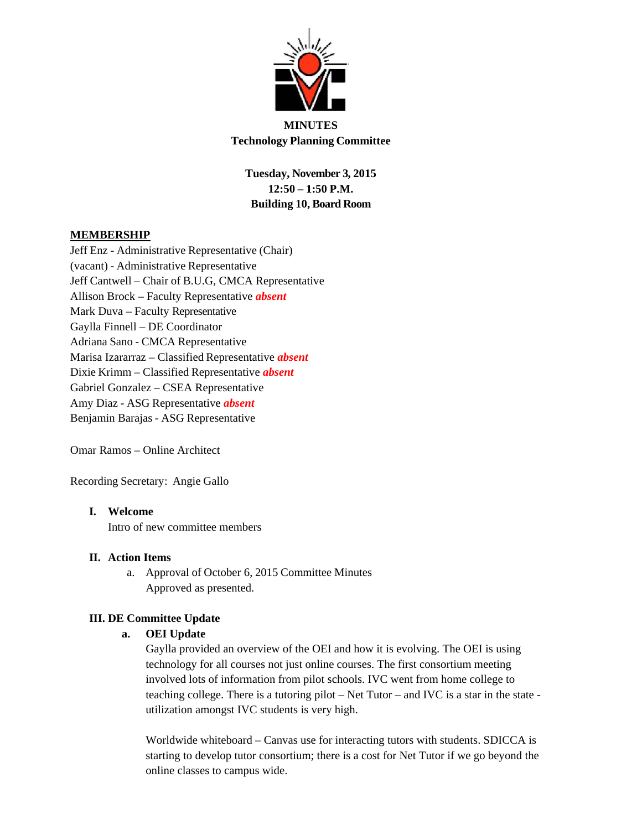

**MINUTES Technology Planning Committee**

**Tuesday, November 3, 2015 12:50 – 1:50 P.M. Building 10, Board Room**

# **MEMBERSHIP**

Jeff Enz - Administrative Representative (Chair) (vacant) - Administrative Representative Jeff Cantwell – Chair of B.U.G, CMCA Representative Allison Brock – Faculty Representative *absent* Mark Duva – Faculty Representative Gaylla Finnell – DE Coordinator Adriana Sano - CMCA Representative Marisa Izararraz – Classified Representative *absent* Dixie Krimm – Classified Representative *absent* Gabriel Gonzalez – CSEA Representative Amy Diaz - ASG Representative *absent* Benjamin Barajas - ASG Representative

Omar Ramos – Online Architect

Recording Secretary: Angie Gallo

# **I. Welcome**

Intro of new committee members

# **II. Action Items**

a. Approval of October 6, 2015 Committee Minutes Approved as presented.

# **III. DE Committee Update**

## **a. OEI Update**

Gaylla provided an overview of the OEI and how it is evolving. The OEI is using technology for all courses not just online courses. The first consortium meeting involved lots of information from pilot schools. IVC went from home college to teaching college. There is a tutoring pilot – Net Tutor – and IVC is a star in the state utilization amongst IVC students is very high.

Worldwide whiteboard – Canvas use for interacting tutors with students. SDICCA is starting to develop tutor consortium; there is a cost for Net Tutor if we go beyond the online classes to campus wide.